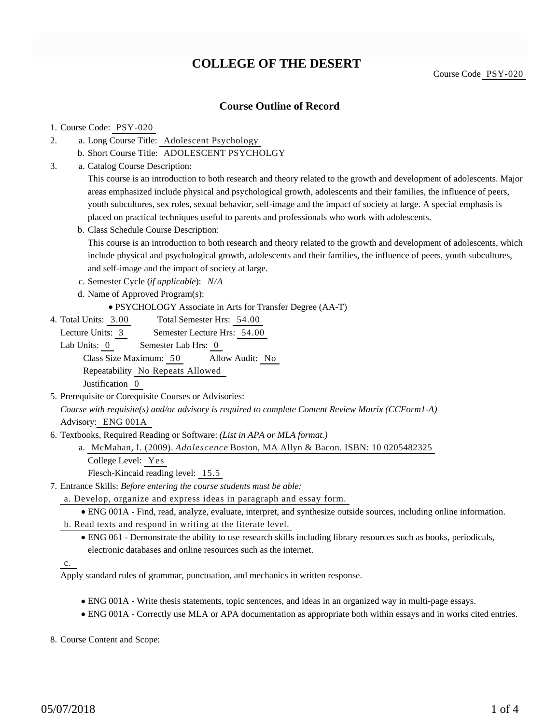# **COLLEGE OF THE DESERT**

Course Code PSY-020

### **Course Outline of Record**

#### 1. Course Code: PSY-020

- a. Long Course Title: Adolescent Psychology 2.
	- b. Short Course Title: ADOLESCENT PSYCHOLGY
- Catalog Course Description: a. 3.

This course is an introduction to both research and theory related to the growth and development of adolescents. Major areas emphasized include physical and psychological growth, adolescents and their families, the influence of peers, youth subcultures, sex roles, sexual behavior, self-image and the impact of society at large. A special emphasis is placed on practical techniques useful to parents and professionals who work with adolescents.

b. Class Schedule Course Description:

This course is an introduction to both research and theory related to the growth and development of adolescents, which include physical and psychological growth, adolescents and their families, the influence of peers, youth subcultures, and self-image and the impact of society at large.

- c. Semester Cycle (*if applicable*): *N/A*
- d. Name of Approved Program(s):
	- PSYCHOLOGY Associate in Arts for Transfer Degree (AA-T)
- Total Semester Hrs: 54.00 4. Total Units: 3.00

Lecture Units: 3 Semester Lecture Hrs: 54.00

Lab Units: 0 Semester Lab Hrs: 0 Class Size Maximum: 50 Allow Audit: No

Repeatability No Repeats Allowed

Justification 0

- 5. Prerequisite or Corequisite Courses or Advisories: *Course with requisite(s) and/or advisory is required to complete Content Review Matrix (CCForm1-A)* Advisory: ENG 001A
- 6. Textbooks, Required Reading or Software: (List in APA or MLA format.)
	- a. McMahan, I. (2009). *Adolescence* Boston, MA Allyn & Bacon. ISBN: 10 0205482325

College Level: Yes

Flesch-Kincaid reading level: 15.5

- Entrance Skills: *Before entering the course students must be able:* 7.
	- a. Develop, organize and express ideas in paragraph and essay form.

ENG 001A - Find, read, analyze, evaluate, interpret, and synthesize outside sources, including online information. b. Read texts and respond in writing at the literate level.

ENG 061 - Demonstrate the ability to use research skills including library resources such as books, periodicals, electronic databases and online resources such as the internet.

Apply standard rules of grammar, punctuation, and mechanics in written response.

- ENG 001A Write thesis statements, topic sentences, and ideas in an organized way in multi-page essays.
- ENG 001A Correctly use MLA or APA documentation as appropriate both within essays and in works cited entries.

8. Course Content and Scope:

c.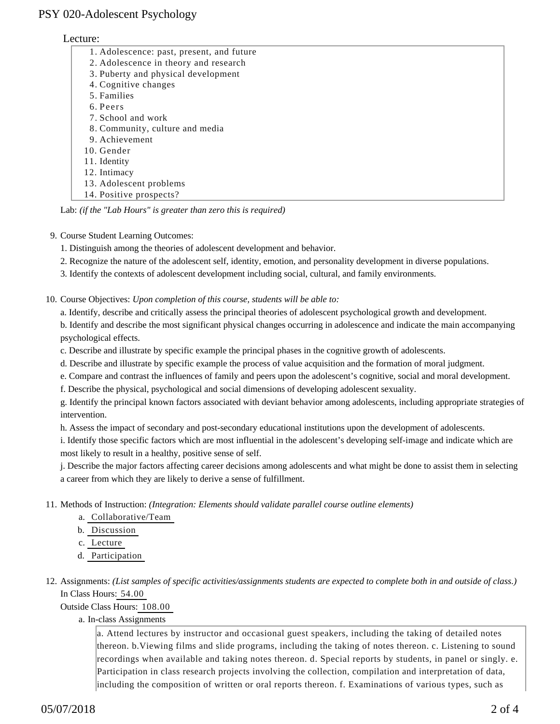## PSY 020-Adolescent Psychology

### Lecture:

| 1. Adolescence: past, present, and future |
|-------------------------------------------|
| 2. Adolescence in theory and research     |
| 3. Puberty and physical development       |
| 4. Cognitive changes                      |
| 5. Families                               |
| 6. Peers                                  |
| 7. School and work                        |
| 8. Community, culture and media           |
| 9. Achievement                            |
| 10. Gender                                |
| 11. Identity                              |
| 12. Intimacy                              |
| 13. Adolescent problems                   |
| 14. Positive prospects?                   |

Lab: *(if the "Lab Hours" is greater than zero this is required)*

### 9. Course Student Learning Outcomes:

1. Distinguish among the theories of adolescent development and behavior.

- 2. Recognize the nature of the adolescent self, identity, emotion, and personality development in diverse populations.
- 3. Identify the contexts of adolescent development including social, cultural, and family environments.
- 10. Course Objectives: Upon completion of this course, students will be able to:

a. Identify, describe and critically assess the principal theories of adolescent psychological growth and development.

b. Identify and describe the most significant physical changes occurring in adolescence and indicate the main accompanying psychological effects.

c. Describe and illustrate by specific example the principal phases in the cognitive growth of adolescents.

d. Describe and illustrate by specific example the process of value acquisition and the formation of moral judgment.

e. Compare and contrast the influences of family and peers upon the adolescent's cognitive, social and moral development.

f. Describe the physical, psychological and social dimensions of developing adolescent sexuality.

g. Identify the principal known factors associated with deviant behavior among adolescents, including appropriate strategies of intervention.

h. Assess the impact of secondary and post-secondary educational institutions upon the development of adolescents.

i. Identify those specific factors which are most influential in the adolescent's developing self-image and indicate which are most likely to result in a healthy, positive sense of self.

j. Describe the major factors affecting career decisions among adolescents and what might be done to assist them in selecting a career from which they are likely to derive a sense of fulfillment.

- 11. Methods of Instruction: *(Integration: Elements should validate parallel course outline elements)* 
	- a. Collaborative/Team
	- b. Discussion
	- c. Lecture
	- d. Participation
- 12. Assignments: (List samples of specific activities/assignments students are expected to complete both in and outside of class.) In Class Hours: 54.00

Outside Class Hours: 108.00

a. In-class Assignments

a. Attend lectures by instructor and occasional guest speakers, including the taking of detailed notes thereon. b.Viewing films and slide programs, including the taking of notes thereon. c. Listening to sound recordings when available and taking notes thereon. d. Special reports by students, in panel or singly. e. Participation in class research projects involving the collection, compilation and interpretation of data, including the composition of written or oral reports thereon. f. Examinations of various types, such as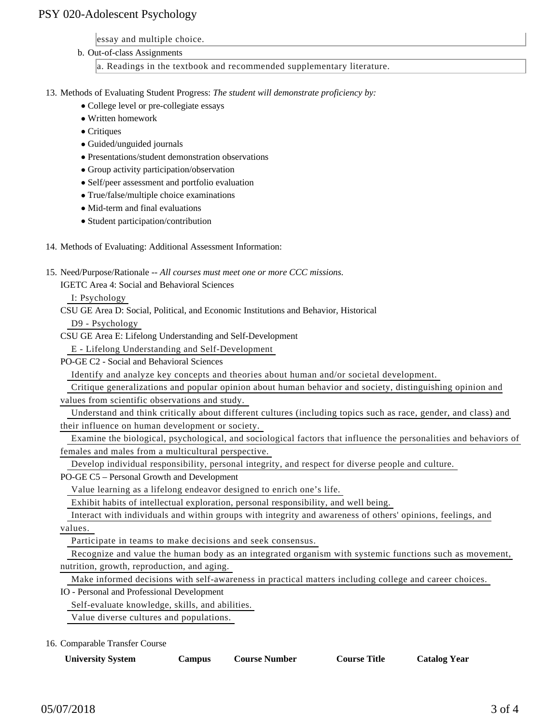## PSY 020-Adolescent Psychology

essay and multiple choice.

b. Out-of-class Assignments

a. Readings in the textbook and recommended supplementary literature.

13. Methods of Evaluating Student Progress: The student will demonstrate proficiency by:

- College level or pre-collegiate essays
- Written homework
- Critiques
- Guided/unguided journals
- Presentations/student demonstration observations
- Group activity participation/observation
- Self/peer assessment and portfolio evaluation
- True/false/multiple choice examinations
- Mid-term and final evaluations
- Student participation/contribution
- 14. Methods of Evaluating: Additional Assessment Information:

15. Need/Purpose/Rationale -- All courses must meet one or more CCC missions.

IGETC Area 4: Social and Behavioral Sciences

I: Psychology

CSU GE Area D: Social, Political, and Economic Institutions and Behavior, Historical

D9 - Psychology

CSU GE Area E: Lifelong Understanding and Self-Development

E - Lifelong Understanding and Self-Development

PO-GE C2 - Social and Behavioral Sciences

Identify and analyze key concepts and theories about human and/or societal development.

 Critique generalizations and popular opinion about human behavior and society, distinguishing opinion and values from scientific observations and study.

 Understand and think critically about different cultures (including topics such as race, gender, and class) and their influence on human development or society.

 Examine the biological, psychological, and sociological factors that influence the personalities and behaviors of females and males from a multicultural perspective.

Develop individual responsibility, personal integrity, and respect for diverse people and culture.

PO-GE C5 – Personal Growth and Development

Value learning as a lifelong endeavor designed to enrich one's life.

Exhibit habits of intellectual exploration, personal responsibility, and well being.

 Interact with individuals and within groups with integrity and awareness of others' opinions, feelings, and values.

Participate in teams to make decisions and seek consensus.

 Recognize and value the human body as an integrated organism with systemic functions such as movement, nutrition, growth, reproduction, and aging.

Make informed decisions with self-awareness in practical matters including college and career choices.

IO - Personal and Professional Development

Self-evaluate knowledge, skills, and abilities.

Value diverse cultures and populations.

16. Comparable Transfer Course

| <b>University System</b> | Campus | <b>Course Number</b> | <b>Course Title</b> | <b>Catalog Year</b> |
|--------------------------|--------|----------------------|---------------------|---------------------|
|--------------------------|--------|----------------------|---------------------|---------------------|